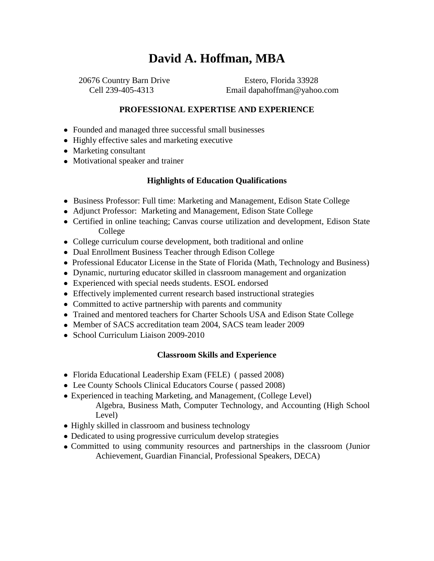# **David A. Hoffman, MBA**

 20676 Country Barn Drive Estero, Florida 33928 Cell 239-405-4313 Email dapahoffman@yahoo.com

### **PROFESSIONAL EXPERTISE AND EXPERIENCE**

- Founded and managed three successful small businesses
- Highly effective sales and marketing executive
- Marketing consultant
- Motivational speaker and trainer

#### **Highlights of Education Qualifications**

- Business Professor: Full time: Marketing and Management, Edison State College
- Adjunct Professor: Marketing and Management, Edison State College
- Certified in online teaching; Canvas course utilization and development, Edison State College
- College curriculum course development, both traditional and online
- Dual Enrollment Business Teacher through Edison College
- Professional Educator License in the State of Florida (Math, Technology and Business)
- Dynamic, nurturing educator skilled in classroom management and organization
- Experienced with special needs students. ESOL endorsed
- Effectively implemented current research based instructional strategies
- Committed to active partnership with parents and community
- Trained and mentored teachers for Charter Schools USA and Edison State College
- Member of SACS accreditation team 2004, SACS team leader 2009
- School Curriculum Liaison 2009-2010

#### **Classroom Skills and Experience**

- Florida Educational Leadership Exam (FELE) ( passed 2008)
- Lee County Schools Clinical Educators Course ( passed 2008)
- Experienced in teaching Marketing, and Management, (College Level) Algebra, Business Math, Computer Technology, and Accounting (High School Level)
- Highly skilled in classroom and business technology
- Dedicated to using progressive curriculum develop strategies
- Committed to using community resources and partnerships in the classroom (Junior Achievement, Guardian Financial, Professional Speakers, DECA)